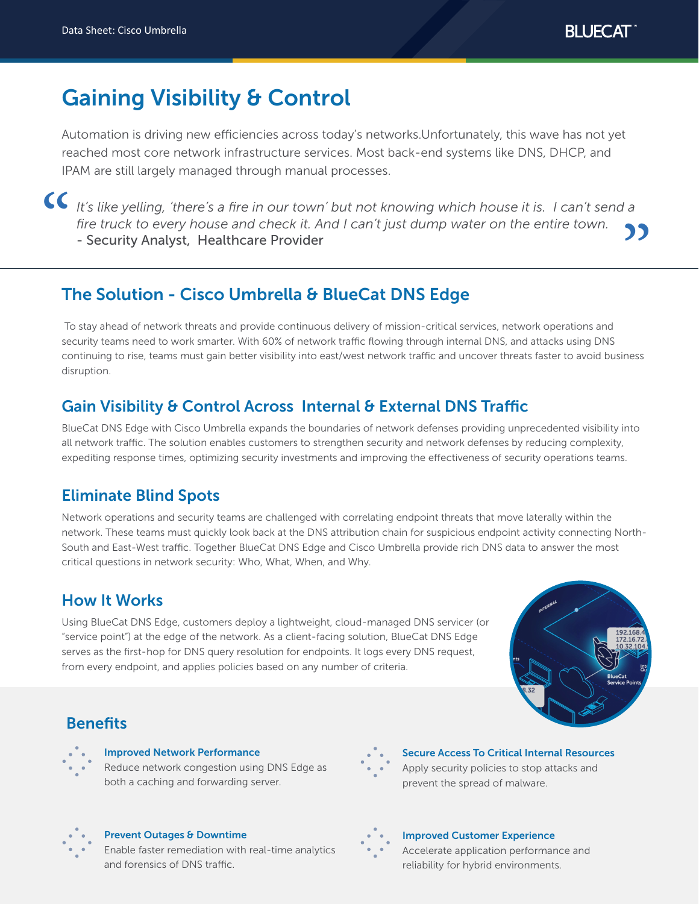**BLUECAT** 

# Gaining Visibility & Control

Automation is driving new efficiencies across today's networks.Unfortunately, this wave has not yet reached most core network infrastructure services. Most back-end systems like DNS, DHCP, and IPAM are still largely managed through manual processes.

It's like yelling, 'there's a fire in our town' but not knowing which house it is. I can't send a *fire truck to every house and check it. And I can't just dump water on the entire town.*  $\alpha$ - Security Analyst, Healthcare Provider "

# The Solution - Cisco Umbrella & BlueCat DNS Edge

 To stay ahead of network threats and provide continuous delivery of mission-critical services, network operations and security teams need to work smarter. With 60% of network traffic flowing through internal DNS, and attacks using DNS continuing to rise, teams must gain better visibility into east/west network traffic and uncover threats faster to avoid business disruption.

# Gain Visibility & Control Across Internal & External DNS Traffic

BlueCat DNS Edge with Cisco Umbrella expands the boundaries of network defenses providing unprecedented visibility into all network traffic. The solution enables customers to strengthen security and network defenses by reducing complexity, expediting response times, optimizing security investments and improving the effectiveness of security operations teams.

# Eliminate Blind Spots

Network operations and security teams are challenged with correlating endpoint threats that move laterally within the network. These teams must quickly look back at the DNS attribution chain for suspicious endpoint activity connecting North-South and East-West traffic. Together BlueCat DNS Edge and Cisco Umbrella provide rich DNS data to answer the most critical questions in network security: Who, What, When, and Why.

### How It Works

Using BlueCat DNS Edge, customers deploy a lightweight, cloud-managed DNS servicer (or "service point") at the edge of the network. As a client-facing solution, BlueCat DNS Edge serves as the first-hop for DNS query resolution for endpoints. It logs every DNS request, from every endpoint, and applies policies based on any number of criteria.



### **Benefits**



### Improved Network Performance

Reduce network congestion using DNS Edge as both a caching and forwarding server.



Secure Access To Critical Internal Resources Apply security policies to stop attacks and prevent the spread of malware.



#### Prevent Outages & Downtime

Enable faster remediation with real-time analytics and forensics of DNS traffic.



### Improved Customer Experience

Accelerate application performance and reliability for hybrid environments.